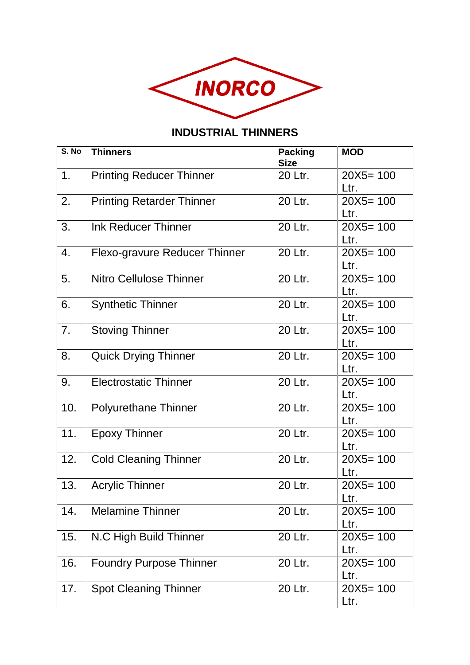

## **INDUSTRIAL THINNERS**

| S. No | <b>Thinners</b>                      | <b>Packing</b><br><b>Size</b> | <b>MOD</b>   |
|-------|--------------------------------------|-------------------------------|--------------|
| 1.    | <b>Printing Reducer Thinner</b>      | 20 Ltr.                       | $20X5 = 100$ |
|       |                                      |                               | Ltr.         |
| 2.    | <b>Printing Retarder Thinner</b>     | 20 Ltr.                       | $20X5 = 100$ |
|       |                                      |                               | Ltr.         |
| 3.    | <b>Ink Reducer Thinner</b>           | 20 Ltr.                       | $20X5 = 100$ |
|       |                                      |                               | Ltr.         |
| 4.    | <b>Flexo-gravure Reducer Thinner</b> | 20 Ltr.                       | $20X5 = 100$ |
|       |                                      |                               | Ltr.         |
| 5.    | Nitro Cellulose Thinner              | 20 Ltr.                       | $20X5 = 100$ |
|       |                                      |                               | Ltr.         |
| 6.    | <b>Synthetic Thinner</b>             | 20 Ltr.                       | $20X5 = 100$ |
|       |                                      |                               | Ltr.         |
| 7.    | <b>Stoving Thinner</b>               | 20 Ltr.                       | $20X5 = 100$ |
|       |                                      |                               | Ltr.         |
| 8.    | <b>Quick Drying Thinner</b>          | 20 Ltr.                       | $20X5 = 100$ |
|       |                                      |                               | Ltr.         |
| 9.    | <b>Electrostatic Thinner</b>         | 20 Ltr.                       | $20X5 = 100$ |
|       |                                      |                               | Ltr.         |
| 10.   | <b>Polyurethane Thinner</b>          | 20 Ltr.                       | $20X5 = 100$ |
|       |                                      |                               | Ltr.         |
| 11.   | <b>Epoxy Thinner</b>                 | 20 Ltr.                       | $20X5 = 100$ |
|       |                                      |                               | Ltr.         |
| 12.   | <b>Cold Cleaning Thinner</b>         | 20 Ltr.                       | $20X5 = 100$ |
|       |                                      |                               | Ltr.         |
| 13.   | <b>Acrylic Thinner</b>               | 20 Ltr.                       | $20X5 = 100$ |
|       |                                      |                               | Ltr.         |
| 14.   | <b>Melamine Thinner</b>              | 20 Ltr.                       | $20X5 = 100$ |
|       |                                      |                               | Ltr.         |
| 15.   | N.C High Build Thinner               | 20 Ltr.                       | $20X5 = 100$ |
|       |                                      |                               | Ltr.         |
| 16.   | <b>Foundry Purpose Thinner</b>       | 20 Ltr.                       | $20X5 = 100$ |
|       |                                      |                               | Ltr.         |
| 17.   | <b>Spot Cleaning Thinner</b>         | 20 Ltr.                       | $20X5 = 100$ |
|       |                                      |                               | Ltr.         |